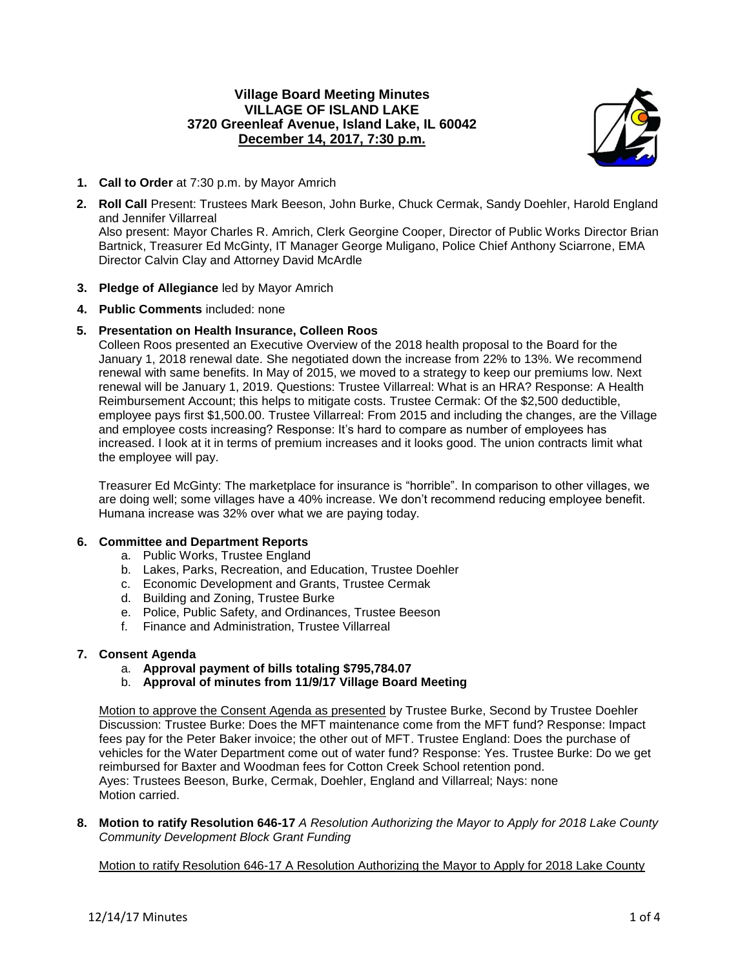## **Village Board Meeting Minutes VILLAGE OF ISLAND LAKE 3720 Greenleaf Avenue, Island Lake, IL 60042 December 14, 2017, 7:30 p.m.**



- **1. Call to Order** at 7:30 p.m. by Mayor Amrich
- **2. Roll Call** Present: Trustees Mark Beeson, John Burke, Chuck Cermak, Sandy Doehler, Harold England and Jennifer Villarreal Also present: Mayor Charles R. Amrich, Clerk Georgine Cooper, Director of Public Works Director Brian

Bartnick, Treasurer Ed McGinty, IT Manager George Muligano, Police Chief Anthony Sciarrone, EMA Director Calvin Clay and Attorney David McArdle

- **3. Pledge of Allegiance** led by Mayor Amrich
- **4. Public Comments** included: none

# **5. Presentation on Health Insurance, Colleen Roos**

Colleen Roos presented an Executive Overview of the 2018 health proposal to the Board for the January 1, 2018 renewal date. She negotiated down the increase from 22% to 13%. We recommend renewal with same benefits. In May of 2015, we moved to a strategy to keep our premiums low. Next renewal will be January 1, 2019. Questions: Trustee Villarreal: What is an HRA? Response: A Health Reimbursement Account; this helps to mitigate costs. Trustee Cermak: Of the \$2,500 deductible, employee pays first \$1,500.00. Trustee Villarreal: From 2015 and including the changes, are the Village and employee costs increasing? Response: It's hard to compare as number of employees has increased. I look at it in terms of premium increases and it looks good. The union contracts limit what the employee will pay.

Treasurer Ed McGinty: The marketplace for insurance is "horrible". In comparison to other villages, we are doing well; some villages have a 40% increase. We don't recommend reducing employee benefit. Humana increase was 32% over what we are paying today.

## **6. Committee and Department Reports**

- a. Public Works, Trustee England
- b. Lakes, Parks, Recreation, and Education, Trustee Doehler
- c. Economic Development and Grants, Trustee Cermak
- d. Building and Zoning, Trustee Burke
- e. Police, Public Safety, and Ordinances, Trustee Beeson
- f. Finance and Administration, Trustee Villarreal

## **7. Consent Agenda**

- a. **Approval payment of bills totaling \$795,784.07**
- b. **Approval of minutes from 11/9/17 Village Board Meeting**

Motion to approve the Consent Agenda as presented by Trustee Burke, Second by Trustee Doehler Discussion: Trustee Burke: Does the MFT maintenance come from the MFT fund? Response: Impact fees pay for the Peter Baker invoice; the other out of MFT. Trustee England: Does the purchase of vehicles for the Water Department come out of water fund? Response: Yes. Trustee Burke: Do we get reimbursed for Baxter and Woodman fees for Cotton Creek School retention pond. Ayes: Trustees Beeson, Burke, Cermak, Doehler, England and Villarreal; Nays: none Motion carried.

**8. Motion to ratify Resolution 646-17** *A Resolution Authorizing the Mayor to Apply for 2018 Lake County Community Development Block Grant Funding*

Motion to ratify Resolution 646-17 A Resolution Authorizing the Mayor to Apply for 2018 Lake County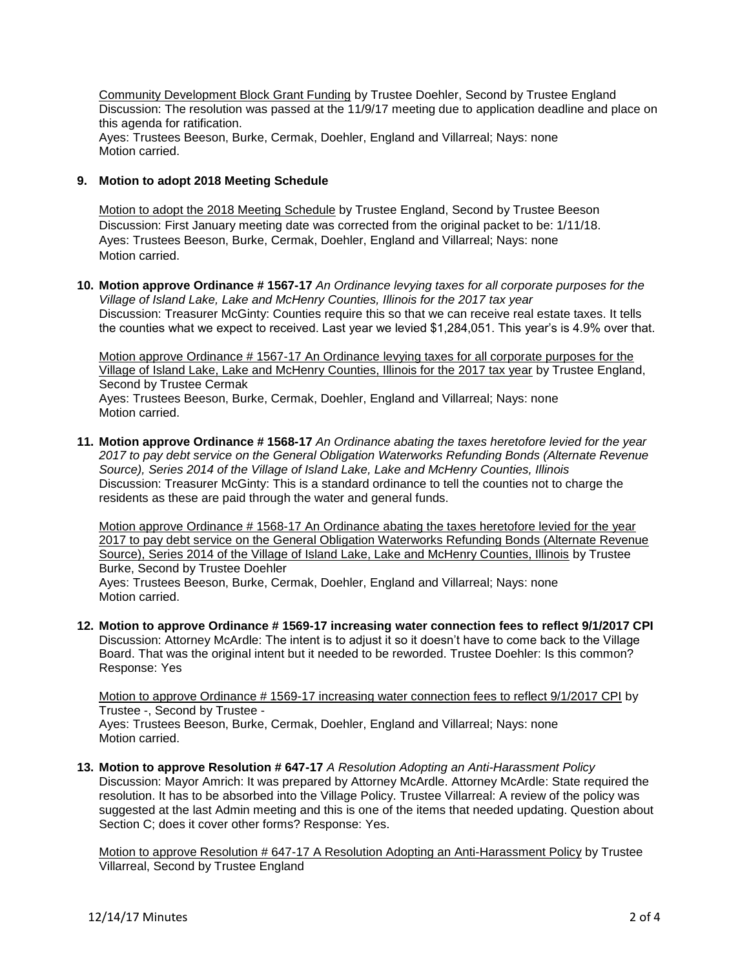Community Development Block Grant Funding by Trustee Doehler, Second by Trustee England Discussion: The resolution was passed at the 11/9/17 meeting due to application deadline and place on this agenda for ratification. Ayes: Trustees Beeson, Burke, Cermak, Doehler, England and Villarreal; Nays: none Motion carried.

### **9. Motion to adopt 2018 Meeting Schedule**

Motion to adopt the 2018 Meeting Schedule by Trustee England, Second by Trustee Beeson Discussion: First January meeting date was corrected from the original packet to be: 1/11/18. Ayes: Trustees Beeson, Burke, Cermak, Doehler, England and Villarreal; Nays: none Motion carried.

**10. Motion approve Ordinance # 1567-17** *An Ordinance levying taxes for all corporate purposes for the Village of Island Lake, Lake and McHenry Counties, Illinois for the 2017 tax year* Discussion: Treasurer McGinty: Counties require this so that we can receive real estate taxes. It tells the counties what we expect to received. Last year we levied \$1,284,051. This year's is 4.9% over that.

Motion approve Ordinance # 1567-17 An Ordinance levying taxes for all corporate purposes for the Village of Island Lake, Lake and McHenry Counties, Illinois for the 2017 tax year by Trustee England, Second by Trustee Cermak Ayes: Trustees Beeson, Burke, Cermak, Doehler, England and Villarreal; Nays: none Motion carried.

**11. Motion approve Ordinance # 1568-17** *An Ordinance abating the taxes heretofore levied for the year 2017 to pay debt service on the General Obligation Waterworks Refunding Bonds (Alternate Revenue Source), Series 2014 of the Village of Island Lake, Lake and McHenry Counties, Illinois* Discussion: Treasurer McGinty: This is a standard ordinance to tell the counties not to charge the residents as these are paid through the water and general funds.

Motion approve Ordinance # 1568-17 An Ordinance abating the taxes heretofore levied for the year 2017 to pay debt service on the General Obligation Waterworks Refunding Bonds (Alternate Revenue Source), Series 2014 of the Village of Island Lake, Lake and McHenry Counties, Illinois by Trustee Burke, Second by Trustee Doehler Ayes: Trustees Beeson, Burke, Cermak, Doehler, England and Villarreal; Nays: none Motion carried.

**12. Motion to approve Ordinance # 1569-17 increasing water connection fees to reflect 9/1/2017 CPI** Discussion: Attorney McArdle: The intent is to adjust it so it doesn't have to come back to the Village Board. That was the original intent but it needed to be reworded. Trustee Doehler: Is this common? Response: Yes

Motion to approve Ordinance # 1569-17 increasing water connection fees to reflect 9/1/2017 CPI by Trustee -, Second by Trustee - Ayes: Trustees Beeson, Burke, Cermak, Doehler, England and Villarreal; Nays: none Motion carried.

**13. Motion to approve Resolution # 647-17** *A Resolution Adopting an Anti-Harassment Policy* Discussion: Mayor Amrich: It was prepared by Attorney McArdle. Attorney McArdle: State required the resolution. It has to be absorbed into the Village Policy. Trustee Villarreal: A review of the policy was suggested at the last Admin meeting and this is one of the items that needed updating. Question about Section C; does it cover other forms? Response: Yes.

Motion to approve Resolution # 647-17 A Resolution Adopting an Anti-Harassment Policy by Trustee Villarreal, Second by Trustee England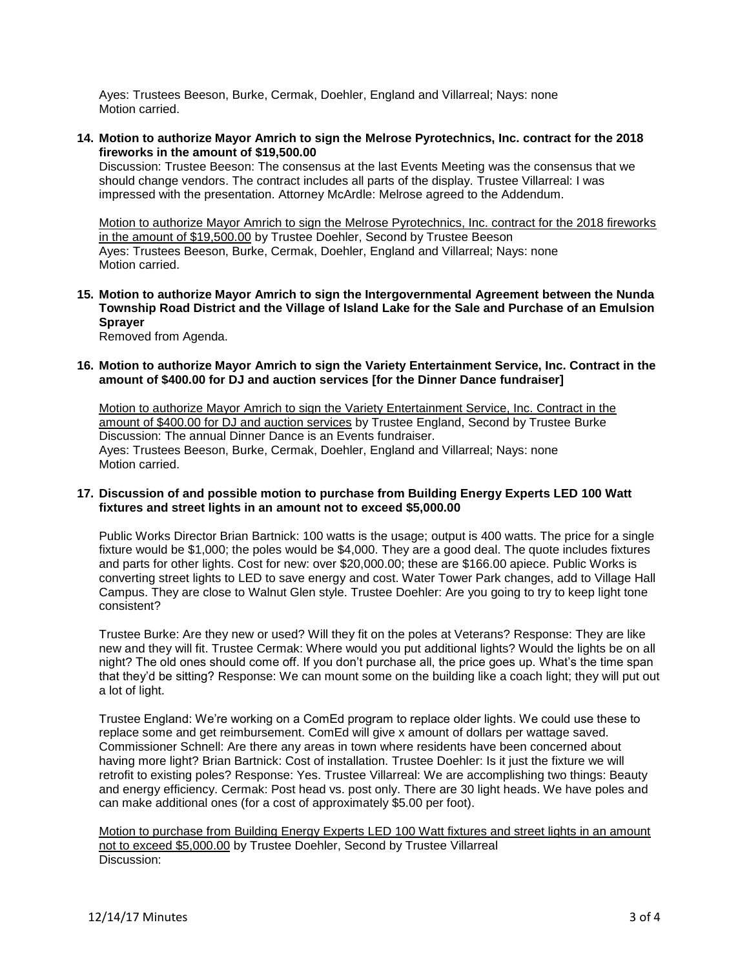Ayes: Trustees Beeson, Burke, Cermak, Doehler, England and Villarreal; Nays: none Motion carried.

**14. Motion to authorize Mayor Amrich to sign the Melrose Pyrotechnics, Inc. contract for the 2018 fireworks in the amount of \$19,500.00**

Discussion: Trustee Beeson: The consensus at the last Events Meeting was the consensus that we should change vendors. The contract includes all parts of the display. Trustee Villarreal: I was impressed with the presentation. Attorney McArdle: Melrose agreed to the Addendum.

Motion to authorize Mayor Amrich to sign the Melrose Pyrotechnics, Inc. contract for the 2018 fireworks in the amount of \$19,500.00 by Trustee Doehler, Second by Trustee Beeson Ayes: Trustees Beeson, Burke, Cermak, Doehler, England and Villarreal; Nays: none Motion carried.

**15. Motion to authorize Mayor Amrich to sign the Intergovernmental Agreement between the Nunda Township Road District and the Village of Island Lake for the Sale and Purchase of an Emulsion Sprayer**

Removed from Agenda.

**16. Motion to authorize Mayor Amrich to sign the Variety Entertainment Service, Inc. Contract in the amount of \$400.00 for DJ and auction services [for the Dinner Dance fundraiser]**

Motion to authorize Mayor Amrich to sign the Variety Entertainment Service, Inc. Contract in the amount of \$400.00 for DJ and auction services by Trustee England, Second by Trustee Burke Discussion: The annual Dinner Dance is an Events fundraiser. Ayes: Trustees Beeson, Burke, Cermak, Doehler, England and Villarreal; Nays: none Motion carried.

#### **17. Discussion of and possible motion to purchase from Building Energy Experts LED 100 Watt fixtures and street lights in an amount not to exceed \$5,000.00**

Public Works Director Brian Bartnick: 100 watts is the usage; output is 400 watts. The price for a single fixture would be \$1,000; the poles would be \$4,000. They are a good deal. The quote includes fixtures and parts for other lights. Cost for new: over \$20,000.00; these are \$166.00 apiece. Public Works is converting street lights to LED to save energy and cost. Water Tower Park changes, add to Village Hall Campus. They are close to Walnut Glen style. Trustee Doehler: Are you going to try to keep light tone consistent?

Trustee Burke: Are they new or used? Will they fit on the poles at Veterans? Response: They are like new and they will fit. Trustee Cermak: Where would you put additional lights? Would the lights be on all night? The old ones should come off. If you don't purchase all, the price goes up. What's the time span that they'd be sitting? Response: We can mount some on the building like a coach light; they will put out a lot of light.

Trustee England: We're working on a ComEd program to replace older lights. We could use these to replace some and get reimbursement. ComEd will give x amount of dollars per wattage saved. Commissioner Schnell: Are there any areas in town where residents have been concerned about having more light? Brian Bartnick: Cost of installation. Trustee Doehler: Is it just the fixture we will retrofit to existing poles? Response: Yes. Trustee Villarreal: We are accomplishing two things: Beauty and energy efficiency. Cermak: Post head vs. post only. There are 30 light heads. We have poles and can make additional ones (for a cost of approximately \$5.00 per foot).

Motion to purchase from Building Energy Experts LED 100 Watt fixtures and street lights in an amount not to exceed \$5,000.00 by Trustee Doehler, Second by Trustee Villarreal Discussion: